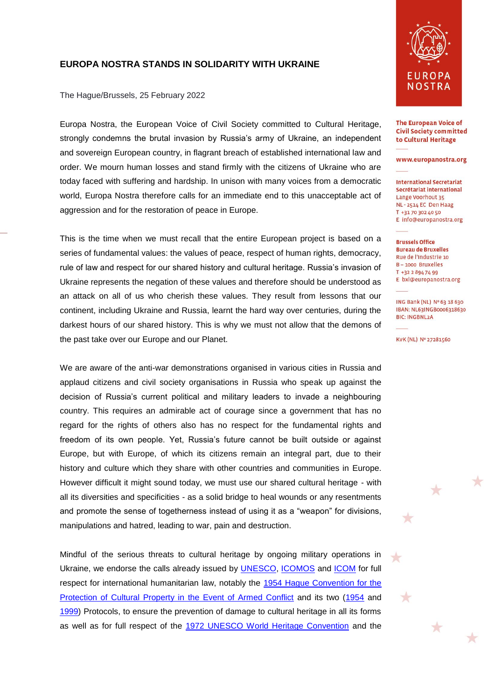## **EUROPA NOSTRA STANDS IN SOLIDARITY WITH UKRAINE**

The Hague/Brussels, 25 February 2022

Europa Nostra, the European Voice of Civil Society committed to Cultural Heritage, strongly condemns the brutal invasion by Russia's army of Ukraine, an independent and sovereign European country, in flagrant breach of established international law and order. We mourn human losses and stand firmly with the citizens of Ukraine who are today faced with suffering and hardship. In unison with many voices from a democratic world, Europa Nostra therefore calls for an immediate end to this unacceptable act of aggression and for the restoration of peace in Europe.

This is the time when we must recall that the entire European project is based on a series of fundamental values: the values of peace, respect of human rights, democracy, rule of law and respect for our shared history and cultural heritage. Russia's invasion of Ukraine represents the negation of these values and therefore should be understood as an attack on all of us who cherish these values. They result from lessons that our continent, including Ukraine and Russia, learnt the hard way over centuries, during the darkest hours of our shared history. This is why we must not allow that the demons of the past take over our Europe and our Planet.

We are aware of the anti-war demonstrations organised in various cities in Russia and applaud citizens and civil society organisations in Russia who speak up against the decision of Russia's current political and military leaders to invade a neighbouring country. This requires an admirable act of courage since a government that has no regard for the rights of others also has no respect for the fundamental rights and freedom of its own people. Yet, Russia's future cannot be built outside or against Europe, but with Europe, of which its citizens remain an integral part, due to their history and culture which they share with other countries and communities in Europe. However difficult it might sound today, we must use our shared cultural heritage - with all its diversities and specificities - as a solid bridge to heal wounds or any resentments and promote the sense of togetherness instead of using it as a "weapon" for divisions, manipulations and hatred, leading to war, pain and destruction.

Mindful of the serious threats to cultural heritage by ongoing military operations in Ukraine, we endorse the calls already issued by [UNESCO,](https://www.unesco.org/en/articles/unescos-statement-recent-developments-ukraine) [ICOMOS](https://www.icomos.org/en/78-english-categories/105671-icomos-statement-on-ukraine?utm_content=buffere972e&utm_medium=social&utm_source=twitter.com&utm_campaign=buffer) and [ICOM](https://icom.museum/en/news/statement-russia-invasion-into-ukraine/) for full respect for international humanitarian law, notably the [1954 Hague Convention for the](https://en.unesco.org/protecting-heritage/convention-and-protocols/1954-convention)  [Protection of Cultural Property in the Event of Armed Conflict](https://en.unesco.org/protecting-heritage/convention-and-protocols/1954-convention) and its two [\(1954](http://www.unesco.org/new/en/culture/themes/armed-conflict-and-heritage/convention-and-protocols/first-protocol/) and [1999\)](http://www.unesco.org/new/en/culture/themes/armed-conflict-and-heritage/convention-and-protocols/second-protocol/) Protocols, to ensure the prevention of damage to cultural heritage in all its forms as well as for full respect of the [1972 UNESCO World Heritage Convention](https://whc.unesco.org/en/conventiontext/) and the



**The European Voice of Civil Society committed** to Cultural Heritage

www.europanostra.org

**International Secretariat** Secrétariat international Lange Voorhout 35 NL - 2514 EC Den Haag T +31 70 302 40 50 E info@europanostra.org

**Brussels Office Bureau de Bruxelles** Rue de l'Industrie 10  $B - 1000$  Bruxelles T +32 2 894 74 99 E bxl@europanostra.org

ING Bank (NL) Nº 63 18 630 IBAN: NL63INGB0006318630 **BIC: INGBNL2A** 

★

 $\star$ 

 $\star$ 

 $\rightarrow$ 

 $\color{red}$   $\color{red}$ 

╈

KVK (NL) Nº 27281560